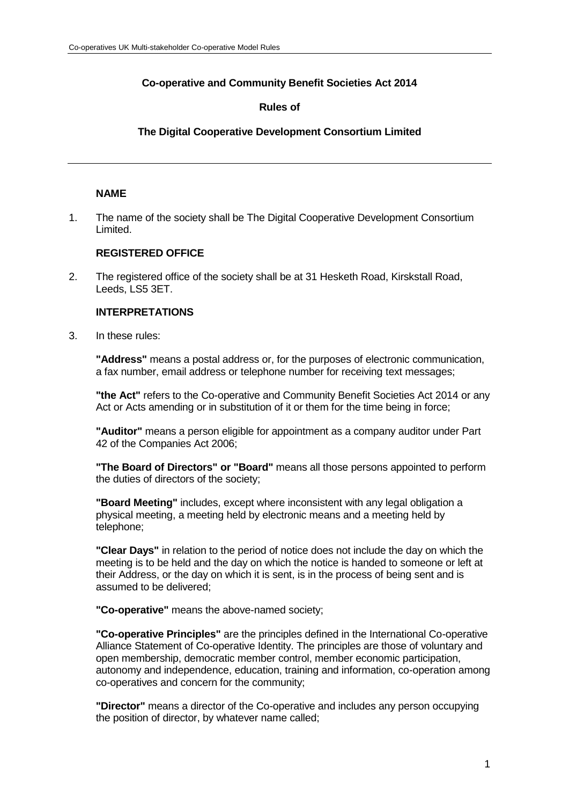# **Co-operative and Community Benefit Societies Act 2014**

# **Rules of**

# **The Digital Cooperative Development Consortium Limited**

# **NAME**

1. The name of the society shall be The Digital Cooperative Development Consortium Limited.

# **REGISTERED OFFICE**

2. The registered office of the society shall be at 31 Hesketh Road, Kirskstall Road, Leeds, LS5 3ET.

## **INTERPRETATIONS**

3. In these rules:

**"Address"** means a postal address or, for the purposes of electronic communication, a fax number, email address or telephone number for receiving text messages;

**"the Act"** refers to the Co-operative and Community Benefit Societies Act 2014 or any Act or Acts amending or in substitution of it or them for the time being in force;

**"Auditor"** means a person eligible for appointment as a company auditor under Part 42 of the Companies Act 2006;

**"The Board of Directors" or "Board"** means all those persons appointed to perform the duties of directors of the society;

**"Board Meeting"** includes, except where inconsistent with any legal obligation a physical meeting, a meeting held by electronic means and a meeting held by telephone;

**"Clear Days"** in relation to the period of notice does not include the day on which the meeting is to be held and the day on which the notice is handed to someone or left at their Address, or the day on which it is sent, is in the process of being sent and is assumed to be delivered;

**"Co-operative"** means the above-named society;

**"Co-operative Principles"** are the principles defined in the International Co-operative Alliance Statement of Co-operative Identity. The principles are those of voluntary and open membership, democratic member control, member economic participation, autonomy and independence, education, training and information, co-operation among co-operatives and concern for the community;

**"Director"** means a director of the Co-operative and includes any person occupying the position of director, by whatever name called;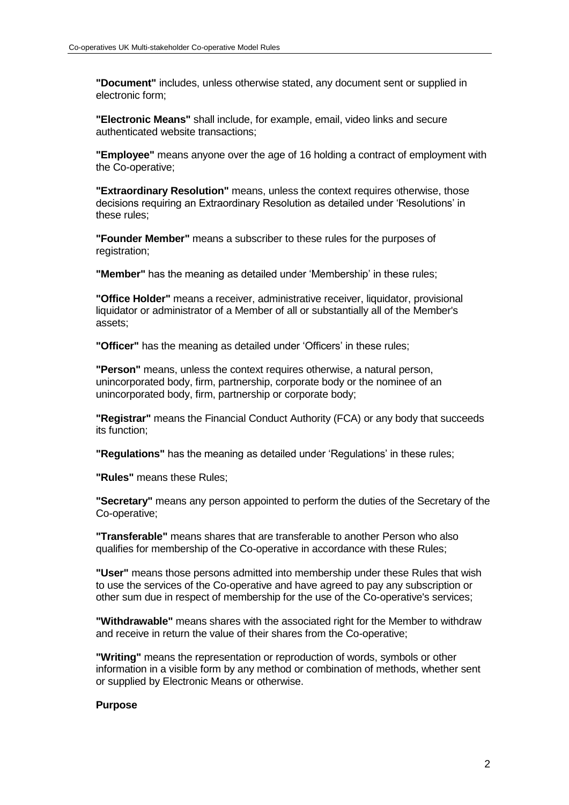**"Document"** includes, unless otherwise stated, any document sent or supplied in electronic form;

**"Electronic Means"** shall include, for example, email, video links and secure authenticated website transactions;

**"Employee"** means anyone over the age of 16 holding a contract of employment with the Co-operative;

**"Extraordinary Resolution"** means, unless the context requires otherwise, those decisions requiring an Extraordinary Resolution as detailed under 'Resolutions' in these rules;

**"Founder Member"** means a subscriber to these rules for the purposes of registration;

**"Member"** has the meaning as detailed under 'Membership' in these rules;

**"Office Holder"** means a receiver, administrative receiver, liquidator, provisional liquidator or administrator of a Member of all or substantially all of the Member's assets;

**"Officer"** has the meaning as detailed under 'Officers' in these rules;

**"Person"** means, unless the context requires otherwise, a natural person, unincorporated body, firm, partnership, corporate body or the nominee of an unincorporated body, firm, partnership or corporate body;

**"Registrar"** means the Financial Conduct Authority (FCA) or any body that succeeds its function;

**"Regulations"** has the meaning as detailed under 'Regulations' in these rules;

**"Rules"** means these Rules;

**"Secretary"** means any person appointed to perform the duties of the Secretary of the Co-operative;

**"Transferable"** means shares that are transferable to another Person who also qualifies for membership of the Co-operative in accordance with these Rules;

**"User"** means those persons admitted into membership under these Rules that wish to use the services of the Co-operative and have agreed to pay any subscription or other sum due in respect of membership for the use of the Co-operative's services;

**"Withdrawable"** means shares with the associated right for the Member to withdraw and receive in return the value of their shares from the Co-operative;

**"Writing"** means the representation or reproduction of words, symbols or other information in a visible form by any method or combination of methods, whether sent or supplied by Electronic Means or otherwise.

#### **Purpose**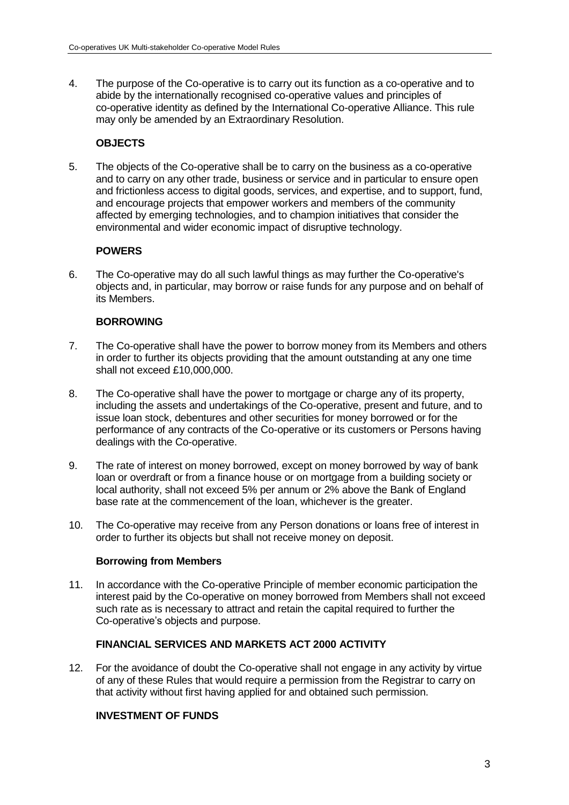4. The purpose of the Co-operative is to carry out its function as a co-operative and to abide by the internationally recognised co-operative values and principles of co-operative identity as defined by the International Co-operative Alliance. This rule may only be amended by an Extraordinary Resolution.

## **OBJECTS**

5. The objects of the Co-operative shall be to carry on the business as a co-operative and to carry on any other trade, business or service and in particular to ensure open and frictionless access to digital goods, services, and expertise, and to support, fund, and encourage projects that empower workers and members of the community affected by emerging technologies, and to champion initiatives that consider the environmental and wider economic impact of disruptive technology.

# **POWERS**

6. The Co-operative may do all such lawful things as may further the Co-operative's objects and, in particular, may borrow or raise funds for any purpose and on behalf of its Members.

## **BORROWING**

- 7. The Co-operative shall have the power to borrow money from its Members and others in order to further its objects providing that the amount outstanding at any one time shall not exceed £10,000,000.
- 8. The Co-operative shall have the power to mortgage or charge any of its property, including the assets and undertakings of the Co-operative, present and future, and to issue loan stock, debentures and other securities for money borrowed or for the performance of any contracts of the Co-operative or its customers or Persons having dealings with the Co-operative.
- 9. The rate of interest on money borrowed, except on money borrowed by way of bank loan or overdraft or from a finance house or on mortgage from a building society or local authority, shall not exceed 5% per annum or 2% above the Bank of England base rate at the commencement of the loan, whichever is the greater.
- 10. The Co-operative may receive from any Person donations or loans free of interest in order to further its objects but shall not receive money on deposit.

#### **Borrowing from Members**

11. In accordance with the Co-operative Principle of member economic participation the interest paid by the Co-operative on money borrowed from Members shall not exceed such rate as is necessary to attract and retain the capital required to further the Co-operative's objects and purpose.

### **FINANCIAL SERVICES AND MARKETS ACT 2000 ACTIVITY**

12. For the avoidance of doubt the Co-operative shall not engage in any activity by virtue of any of these Rules that would require a permission from the Registrar to carry on that activity without first having applied for and obtained such permission.

## **INVESTMENT OF FUNDS**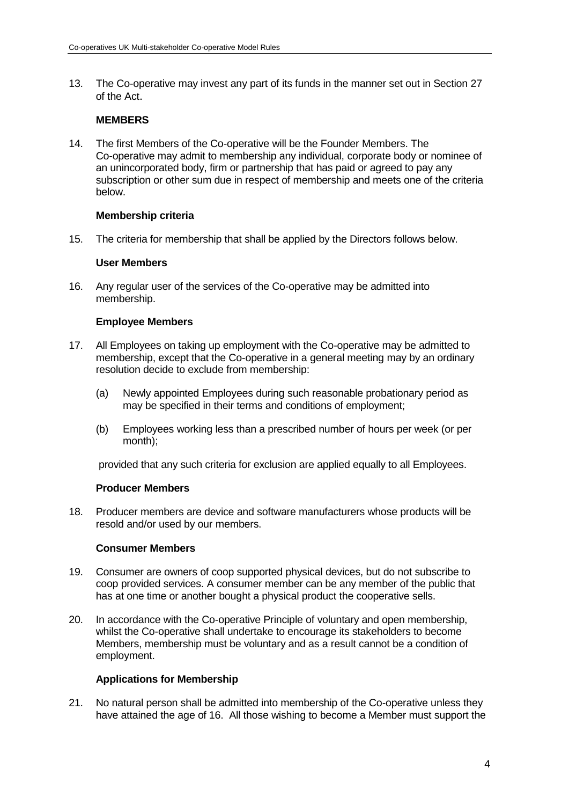13. The Co-operative may invest any part of its funds in the manner set out in Section 27 of the Act.

### **MEMBERS**

14. The first Members of the Co-operative will be the Founder Members. The Co-operative may admit to membership any individual, corporate body or nominee of an unincorporated body, firm or partnership that has paid or agreed to pay any subscription or other sum due in respect of membership and meets one of the criteria below.

### **Membership criteria**

15. The criteria for membership that shall be applied by the Directors follows below.

#### **User Members**

16. Any regular user of the services of the Co-operative may be admitted into membership.

#### **Employee Members**

- 17. All Employees on taking up employment with the Co-operative may be admitted to membership, except that the Co-operative in a general meeting may by an ordinary resolution decide to exclude from membership:
	- (a) Newly appointed Employees during such reasonable probationary period as may be specified in their terms and conditions of employment;
	- (b) Employees working less than a prescribed number of hours per week (or per month);

provided that any such criteria for exclusion are applied equally to all Employees.

#### **Producer Members**

18. Producer members are device and software manufacturers whose products will be resold and/or used by our members.

#### **Consumer Members**

- 19. Consumer are owners of coop supported physical devices, but do not subscribe to coop provided services. A consumer member can be any member of the public that has at one time or another bought a physical product the cooperative sells.
- 20. In accordance with the Co-operative Principle of voluntary and open membership, whilst the Co-operative shall undertake to encourage its stakeholders to become Members, membership must be voluntary and as a result cannot be a condition of employment.

#### **Applications for Membership**

21. No natural person shall be admitted into membership of the Co-operative unless they have attained the age of 16. All those wishing to become a Member must support the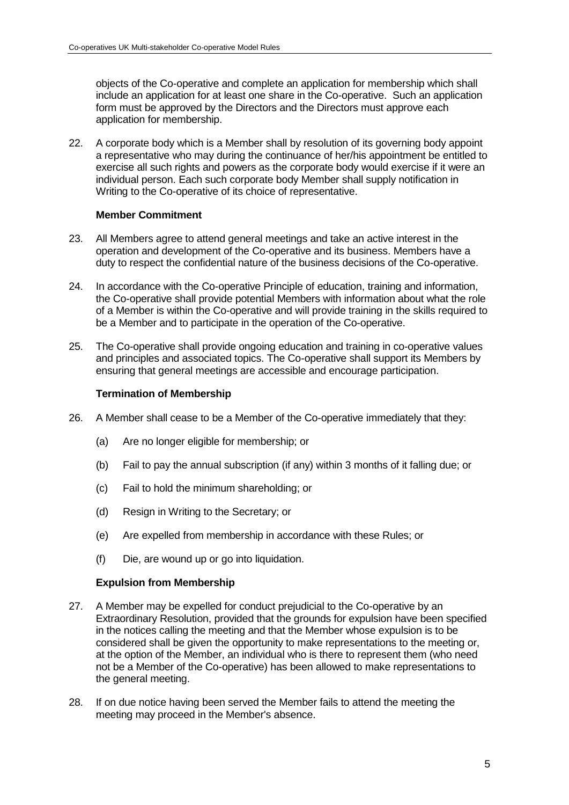objects of the Co-operative and complete an application for membership which shall include an application for at least one share in the Co-operative. Such an application form must be approved by the Directors and the Directors must approve each application for membership.

22. A corporate body which is a Member shall by resolution of its governing body appoint a representative who may during the continuance of her/his appointment be entitled to exercise all such rights and powers as the corporate body would exercise if it were an individual person. Each such corporate body Member shall supply notification in Writing to the Co-operative of its choice of representative.

## **Member Commitment**

- 23. All Members agree to attend general meetings and take an active interest in the operation and development of the Co-operative and its business. Members have a duty to respect the confidential nature of the business decisions of the Co-operative.
- 24. In accordance with the Co-operative Principle of education, training and information, the Co-operative shall provide potential Members with information about what the role of a Member is within the Co-operative and will provide training in the skills required to be a Member and to participate in the operation of the Co-operative.
- 25. The Co-operative shall provide ongoing education and training in co-operative values and principles and associated topics. The Co-operative shall support its Members by ensuring that general meetings are accessible and encourage participation.

### **Termination of Membership**

- 26. A Member shall cease to be a Member of the Co-operative immediately that they:
	- (a) Are no longer eligible for membership; or
	- (b) Fail to pay the annual subscription (if any) within 3 months of it falling due; or
	- (c) Fail to hold the minimum shareholding; or
	- (d) Resign in Writing to the Secretary; or
	- (e) Are expelled from membership in accordance with these Rules; or
	- (f) Die, are wound up or go into liquidation.

## **Expulsion from Membership**

- 27. A Member may be expelled for conduct prejudicial to the Co-operative by an Extraordinary Resolution, provided that the grounds for expulsion have been specified in the notices calling the meeting and that the Member whose expulsion is to be considered shall be given the opportunity to make representations to the meeting or, at the option of the Member, an individual who is there to represent them (who need not be a Member of the Co-operative) has been allowed to make representations to the general meeting.
- 28. If on due notice having been served the Member fails to attend the meeting the meeting may proceed in the Member's absence.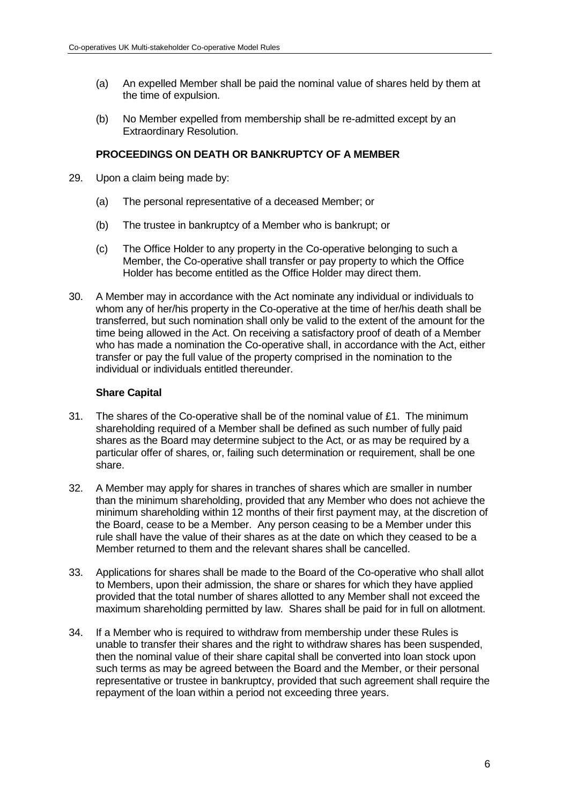- (a) An expelled Member shall be paid the nominal value of shares held by them at the time of expulsion.
- (b) No Member expelled from membership shall be re-admitted except by an Extraordinary Resolution.

### **PROCEEDINGS ON DEATH OR BANKRUPTCY OF A MEMBER**

- 29. Upon a claim being made by:
	- (a) The personal representative of a deceased Member; or
	- (b) The trustee in bankruptcy of a Member who is bankrupt; or
	- (c) The Office Holder to any property in the Co-operative belonging to such a Member, the Co-operative shall transfer or pay property to which the Office Holder has become entitled as the Office Holder may direct them.
- 30. A Member may in accordance with the Act nominate any individual or individuals to whom any of her/his property in the Co-operative at the time of her/his death shall be transferred, but such nomination shall only be valid to the extent of the amount for the time being allowed in the Act. On receiving a satisfactory proof of death of a Member who has made a nomination the Co-operative shall, in accordance with the Act, either transfer or pay the full value of the property comprised in the nomination to the individual or individuals entitled thereunder.

### **Share Capital**

- 31. The shares of the Co-operative shall be of the nominal value of £1. The minimum shareholding required of a Member shall be defined as such number of fully paid shares as the Board may determine subject to the Act, or as may be required by a particular offer of shares, or, failing such determination or requirement, shall be one share.
- 32. A Member may apply for shares in tranches of shares which are smaller in number than the minimum shareholding, provided that any Member who does not achieve the minimum shareholding within 12 months of their first payment may, at the discretion of the Board, cease to be a Member. Any person ceasing to be a Member under this rule shall have the value of their shares as at the date on which they ceased to be a Member returned to them and the relevant shares shall be cancelled.
- 33. Applications for shares shall be made to the Board of the Co-operative who shall allot to Members, upon their admission, the share or shares for which they have applied provided that the total number of shares allotted to any Member shall not exceed the maximum shareholding permitted by law. Shares shall be paid for in full on allotment.
- 34. If a Member who is required to withdraw from membership under these Rules is unable to transfer their shares and the right to withdraw shares has been suspended, then the nominal value of their share capital shall be converted into loan stock upon such terms as may be agreed between the Board and the Member, or their personal representative or trustee in bankruptcy, provided that such agreement shall require the repayment of the loan within a period not exceeding three years.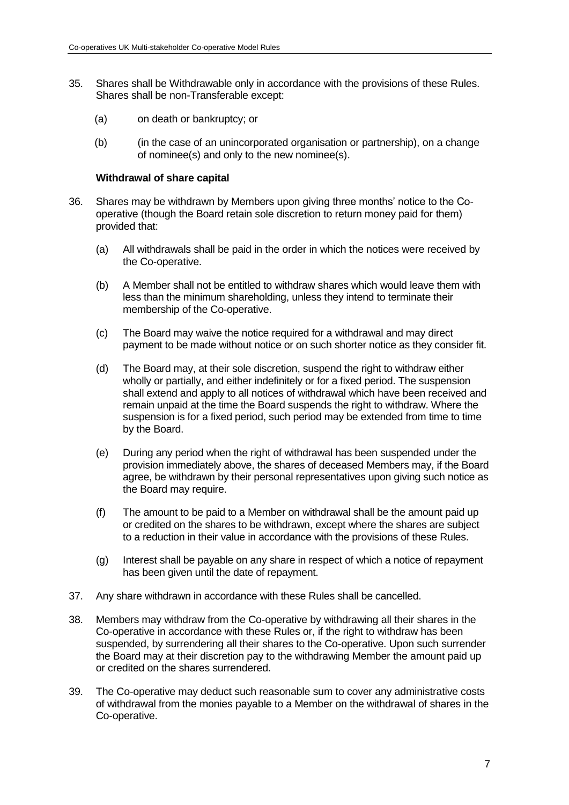- 35. Shares shall be Withdrawable only in accordance with the provisions of these Rules. Shares shall be non-Transferable except:
	- (a) on death or bankruptcy; or
	- (b) (in the case of an unincorporated organisation or partnership), on a change of nominee(s) and only to the new nominee(s).

#### **Withdrawal of share capital**

- 36. Shares may be withdrawn by Members upon giving three months' notice to the Cooperative (though the Board retain sole discretion to return money paid for them) provided that:
	- (a) All withdrawals shall be paid in the order in which the notices were received by the Co-operative.
	- (b) A Member shall not be entitled to withdraw shares which would leave them with less than the minimum shareholding, unless they intend to terminate their membership of the Co-operative.
	- (c) The Board may waive the notice required for a withdrawal and may direct payment to be made without notice or on such shorter notice as they consider fit.
	- (d) The Board may, at their sole discretion, suspend the right to withdraw either wholly or partially, and either indefinitely or for a fixed period. The suspension shall extend and apply to all notices of withdrawal which have been received and remain unpaid at the time the Board suspends the right to withdraw. Where the suspension is for a fixed period, such period may be extended from time to time by the Board.
	- (e) During any period when the right of withdrawal has been suspended under the provision immediately above, the shares of deceased Members may, if the Board agree, be withdrawn by their personal representatives upon giving such notice as the Board may require.
	- (f) The amount to be paid to a Member on withdrawal shall be the amount paid up or credited on the shares to be withdrawn, except where the shares are subject to a reduction in their value in accordance with the provisions of these Rules.
	- (g) Interest shall be payable on any share in respect of which a notice of repayment has been given until the date of repayment.
- 37. Any share withdrawn in accordance with these Rules shall be cancelled.
- 38. Members may withdraw from the Co-operative by withdrawing all their shares in the Co-operative in accordance with these Rules or, if the right to withdraw has been suspended, by surrendering all their shares to the Co-operative. Upon such surrender the Board may at their discretion pay to the withdrawing Member the amount paid up or credited on the shares surrendered.
- 39. The Co-operative may deduct such reasonable sum to cover any administrative costs of withdrawal from the monies payable to a Member on the withdrawal of shares in the Co-operative.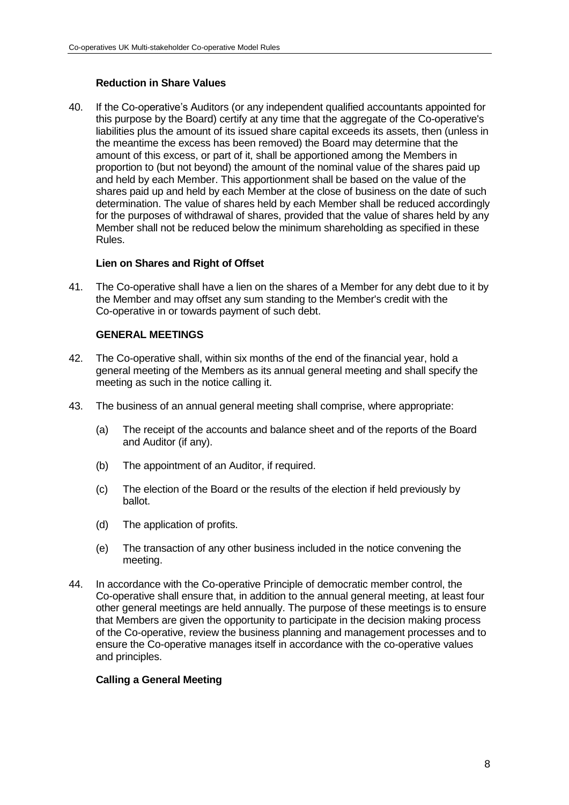# **Reduction in Share Values**

40. If the Co-operative's Auditors (or any independent qualified accountants appointed for this purpose by the Board) certify at any time that the aggregate of the Co-operative's liabilities plus the amount of its issued share capital exceeds its assets, then (unless in the meantime the excess has been removed) the Board may determine that the amount of this excess, or part of it, shall be apportioned among the Members in proportion to (but not beyond) the amount of the nominal value of the shares paid up and held by each Member. This apportionment shall be based on the value of the shares paid up and held by each Member at the close of business on the date of such determination. The value of shares held by each Member shall be reduced accordingly for the purposes of withdrawal of shares, provided that the value of shares held by any Member shall not be reduced below the minimum shareholding as specified in these Rules.

## **Lien on Shares and Right of Offset**

41. The Co-operative shall have a lien on the shares of a Member for any debt due to it by the Member and may offset any sum standing to the Member's credit with the Co-operative in or towards payment of such debt.

# **GENERAL MEETINGS**

- 42. The Co-operative shall, within six months of the end of the financial year, hold a general meeting of the Members as its annual general meeting and shall specify the meeting as such in the notice calling it.
- 43. The business of an annual general meeting shall comprise, where appropriate:
	- (a) The receipt of the accounts and balance sheet and of the reports of the Board and Auditor (if any).
	- (b) The appointment of an Auditor, if required.
	- (c) The election of the Board or the results of the election if held previously by ballot.
	- (d) The application of profits.
	- (e) The transaction of any other business included in the notice convening the meeting.
- 44. In accordance with the Co-operative Principle of democratic member control, the Co-operative shall ensure that, in addition to the annual general meeting, at least four other general meetings are held annually. The purpose of these meetings is to ensure that Members are given the opportunity to participate in the decision making process of the Co-operative, review the business planning and management processes and to ensure the Co-operative manages itself in accordance with the co-operative values and principles.

## **Calling a General Meeting**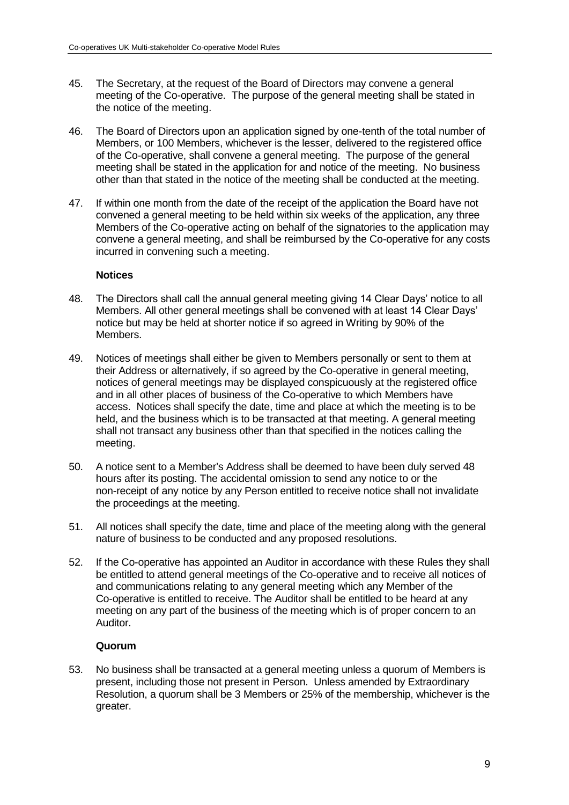- 45. The Secretary, at the request of the Board of Directors may convene a general meeting of the Co-operative. The purpose of the general meeting shall be stated in the notice of the meeting.
- 46. The Board of Directors upon an application signed by one-tenth of the total number of Members, or 100 Members, whichever is the lesser, delivered to the registered office of the Co-operative, shall convene a general meeting. The purpose of the general meeting shall be stated in the application for and notice of the meeting. No business other than that stated in the notice of the meeting shall be conducted at the meeting.
- 47. If within one month from the date of the receipt of the application the Board have not convened a general meeting to be held within six weeks of the application, any three Members of the Co-operative acting on behalf of the signatories to the application may convene a general meeting, and shall be reimbursed by the Co-operative for any costs incurred in convening such a meeting.

### **Notices**

- 48. The Directors shall call the annual general meeting giving 14 Clear Days' notice to all Members. All other general meetings shall be convened with at least 14 Clear Days' notice but may be held at shorter notice if so agreed in Writing by 90% of the Members.
- 49. Notices of meetings shall either be given to Members personally or sent to them at their Address or alternatively, if so agreed by the Co-operative in general meeting, notices of general meetings may be displayed conspicuously at the registered office and in all other places of business of the Co-operative to which Members have access. Notices shall specify the date, time and place at which the meeting is to be held, and the business which is to be transacted at that meeting. A general meeting shall not transact any business other than that specified in the notices calling the meeting.
- 50. A notice sent to a Member's Address shall be deemed to have been duly served 48 hours after its posting. The accidental omission to send any notice to or the non-receipt of any notice by any Person entitled to receive notice shall not invalidate the proceedings at the meeting.
- 51. All notices shall specify the date, time and place of the meeting along with the general nature of business to be conducted and any proposed resolutions.
- 52. If the Co-operative has appointed an Auditor in accordance with these Rules they shall be entitled to attend general meetings of the Co-operative and to receive all notices of and communications relating to any general meeting which any Member of the Co-operative is entitled to receive. The Auditor shall be entitled to be heard at any meeting on any part of the business of the meeting which is of proper concern to an Auditor.

#### **Quorum**

53. No business shall be transacted at a general meeting unless a quorum of Members is present, including those not present in Person. Unless amended by Extraordinary Resolution, a quorum shall be 3 Members or 25% of the membership, whichever is the greater.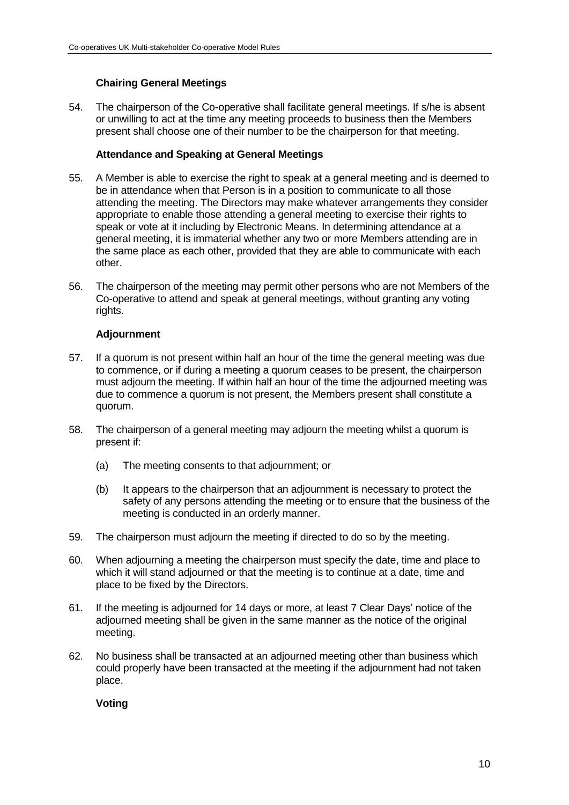# **Chairing General Meetings**

54. The chairperson of the Co-operative shall facilitate general meetings. If s/he is absent or unwilling to act at the time any meeting proceeds to business then the Members present shall choose one of their number to be the chairperson for that meeting.

### **Attendance and Speaking at General Meetings**

- 55. A Member is able to exercise the right to speak at a general meeting and is deemed to be in attendance when that Person is in a position to communicate to all those attending the meeting. The Directors may make whatever arrangements they consider appropriate to enable those attending a general meeting to exercise their rights to speak or vote at it including by Electronic Means. In determining attendance at a general meeting, it is immaterial whether any two or more Members attending are in the same place as each other, provided that they are able to communicate with each other.
- 56. The chairperson of the meeting may permit other persons who are not Members of the Co-operative to attend and speak at general meetings, without granting any voting rights.

## **Adjournment**

- 57. If a quorum is not present within half an hour of the time the general meeting was due to commence, or if during a meeting a quorum ceases to be present, the chairperson must adjourn the meeting. If within half an hour of the time the adjourned meeting was due to commence a quorum is not present, the Members present shall constitute a quorum.
- 58. The chairperson of a general meeting may adjourn the meeting whilst a quorum is present if:
	- (a) The meeting consents to that adjournment; or
	- (b) It appears to the chairperson that an adjournment is necessary to protect the safety of any persons attending the meeting or to ensure that the business of the meeting is conducted in an orderly manner.
- 59. The chairperson must adjourn the meeting if directed to do so by the meeting.
- 60. When adjourning a meeting the chairperson must specify the date, time and place to which it will stand adjourned or that the meeting is to continue at a date, time and place to be fixed by the Directors.
- 61. If the meeting is adjourned for 14 days or more, at least 7 Clear Days' notice of the adjourned meeting shall be given in the same manner as the notice of the original meeting.
- 62. No business shall be transacted at an adjourned meeting other than business which could properly have been transacted at the meeting if the adjournment had not taken place.

#### **Voting**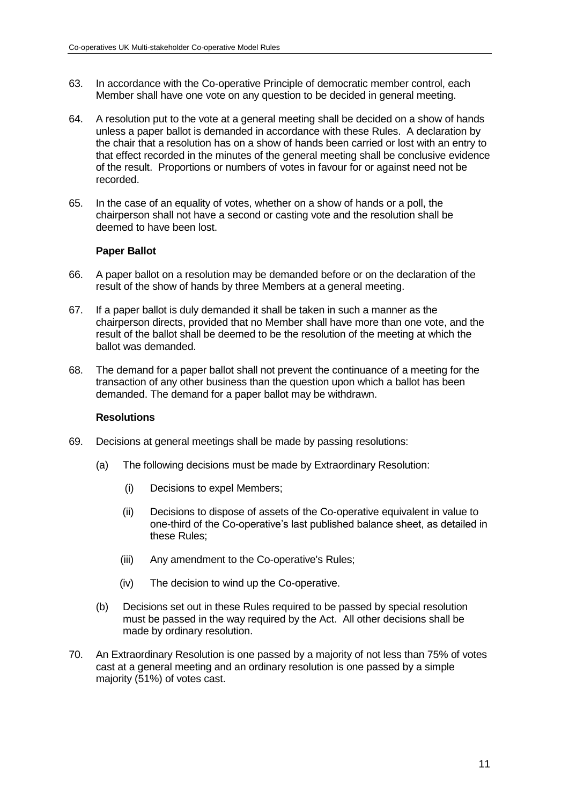- 63. In accordance with the Co-operative Principle of democratic member control, each Member shall have one vote on any question to be decided in general meeting.
- 64. A resolution put to the vote at a general meeting shall be decided on a show of hands unless a paper ballot is demanded in accordance with these Rules. A declaration by the chair that a resolution has on a show of hands been carried or lost with an entry to that effect recorded in the minutes of the general meeting shall be conclusive evidence of the result. Proportions or numbers of votes in favour for or against need not be recorded.
- 65. In the case of an equality of votes, whether on a show of hands or a poll, the chairperson shall not have a second or casting vote and the resolution shall be deemed to have been lost.

## **Paper Ballot**

- 66. A paper ballot on a resolution may be demanded before or on the declaration of the result of the show of hands by three Members at a general meeting.
- 67. If a paper ballot is duly demanded it shall be taken in such a manner as the chairperson directs, provided that no Member shall have more than one vote, and the result of the ballot shall be deemed to be the resolution of the meeting at which the ballot was demanded.
- 68. The demand for a paper ballot shall not prevent the continuance of a meeting for the transaction of any other business than the question upon which a ballot has been demanded. The demand for a paper ballot may be withdrawn.

#### **Resolutions**

- 69. Decisions at general meetings shall be made by passing resolutions:
	- (a) The following decisions must be made by Extraordinary Resolution:
		- (i) Decisions to expel Members;
		- (ii) Decisions to dispose of assets of the Co-operative equivalent in value to one-third of the Co-operative's last published balance sheet, as detailed in these Rules;
		- (iii) Any amendment to the Co-operative's Rules;
		- (iv) The decision to wind up the Co-operative.
	- (b) Decisions set out in these Rules required to be passed by special resolution must be passed in the way required by the Act. All other decisions shall be made by ordinary resolution.
- 70. An Extraordinary Resolution is one passed by a majority of not less than 75% of votes cast at a general meeting and an ordinary resolution is one passed by a simple majority (51%) of votes cast.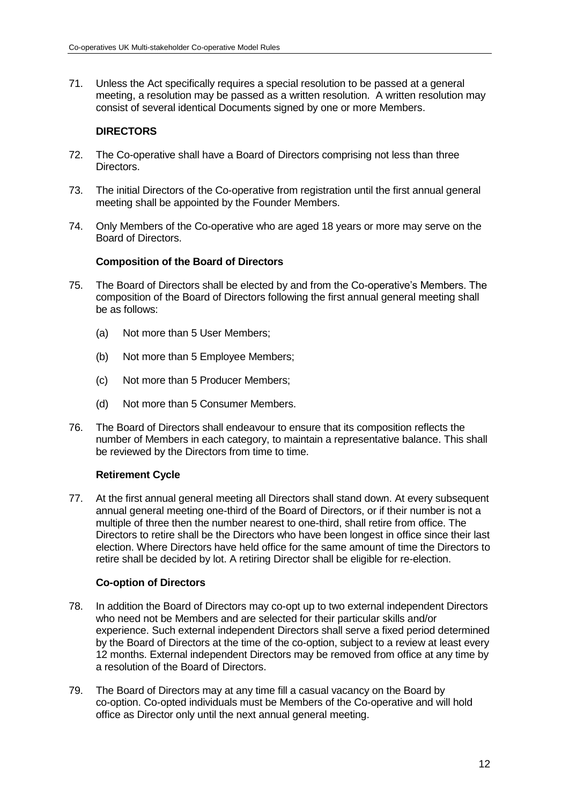71. Unless the Act specifically requires a special resolution to be passed at a general meeting, a resolution may be passed as a written resolution. A written resolution may consist of several identical Documents signed by one or more Members.

# **DIRECTORS**

- 72. The Co-operative shall have a Board of Directors comprising not less than three Directors.
- 73. The initial Directors of the Co-operative from registration until the first annual general meeting shall be appointed by the Founder Members.
- 74. Only Members of the Co-operative who are aged 18 years or more may serve on the Board of Directors.

## **Composition of the Board of Directors**

- 75. The Board of Directors shall be elected by and from the Co-operative's Members. The composition of the Board of Directors following the first annual general meeting shall be as follows:
	- (a) Not more than 5 User Members;
	- (b) Not more than 5 Employee Members;
	- (c) Not more than 5 Producer Members;
	- (d) Not more than 5 Consumer Members.
- 76. The Board of Directors shall endeavour to ensure that its composition reflects the number of Members in each category, to maintain a representative balance. This shall be reviewed by the Directors from time to time.

## **Retirement Cycle**

77. At the first annual general meeting all Directors shall stand down. At every subsequent annual general meeting one-third of the Board of Directors, or if their number is not a multiple of three then the number nearest to one-third, shall retire from office. The Directors to retire shall be the Directors who have been longest in office since their last election. Where Directors have held office for the same amount of time the Directors to retire shall be decided by lot. A retiring Director shall be eligible for re-election.

#### **Co-option of Directors**

- 78. In addition the Board of Directors may co-opt up to two external independent Directors who need not be Members and are selected for their particular skills and/or experience. Such external independent Directors shall serve a fixed period determined by the Board of Directors at the time of the co-option, subject to a review at least every 12 months. External independent Directors may be removed from office at any time by a resolution of the Board of Directors.
- 79. The Board of Directors may at any time fill a casual vacancy on the Board by co-option. Co-opted individuals must be Members of the Co-operative and will hold office as Director only until the next annual general meeting.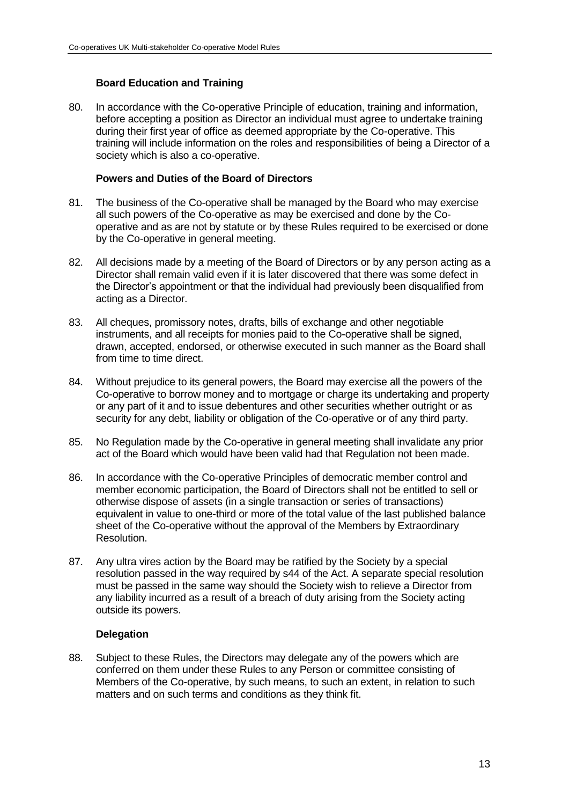# **Board Education and Training**

80. In accordance with the Co-operative Principle of education, training and information, before accepting a position as Director an individual must agree to undertake training during their first year of office as deemed appropriate by the Co-operative. This training will include information on the roles and responsibilities of being a Director of a society which is also a co-operative.

## **Powers and Duties of the Board of Directors**

- 81. The business of the Co-operative shall be managed by the Board who may exercise all such powers of the Co-operative as may be exercised and done by the Cooperative and as are not by statute or by these Rules required to be exercised or done by the Co-operative in general meeting.
- 82. All decisions made by a meeting of the Board of Directors or by any person acting as a Director shall remain valid even if it is later discovered that there was some defect in the Director's appointment or that the individual had previously been disqualified from acting as a Director.
- 83. All cheques, promissory notes, drafts, bills of exchange and other negotiable instruments, and all receipts for monies paid to the Co-operative shall be signed, drawn, accepted, endorsed, or otherwise executed in such manner as the Board shall from time to time direct.
- 84. Without prejudice to its general powers, the Board may exercise all the powers of the Co-operative to borrow money and to mortgage or charge its undertaking and property or any part of it and to issue debentures and other securities whether outright or as security for any debt, liability or obligation of the Co-operative or of any third party.
- 85. No Regulation made by the Co-operative in general meeting shall invalidate any prior act of the Board which would have been valid had that Regulation not been made.
- 86. In accordance with the Co-operative Principles of democratic member control and member economic participation, the Board of Directors shall not be entitled to sell or otherwise dispose of assets (in a single transaction or series of transactions) equivalent in value to one-third or more of the total value of the last published balance sheet of the Co-operative without the approval of the Members by Extraordinary Resolution.
- 87. Any ultra vires action by the Board may be ratified by the Society by a special resolution passed in the way required by s44 of the Act. A separate special resolution must be passed in the same way should the Society wish to relieve a Director from any liability incurred as a result of a breach of duty arising from the Society acting outside its powers.

## **Delegation**

88. Subject to these Rules, the Directors may delegate any of the powers which are conferred on them under these Rules to any Person or committee consisting of Members of the Co-operative, by such means, to such an extent, in relation to such matters and on such terms and conditions as they think fit.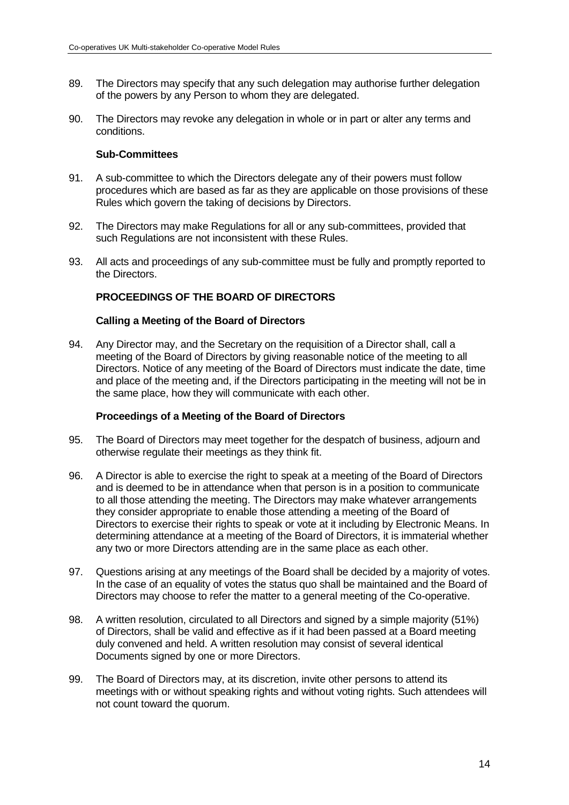- 89. The Directors may specify that any such delegation may authorise further delegation of the powers by any Person to whom they are delegated.
- 90. The Directors may revoke any delegation in whole or in part or alter any terms and conditions.

### **Sub-Committees**

- 91. A sub-committee to which the Directors delegate any of their powers must follow procedures which are based as far as they are applicable on those provisions of these Rules which govern the taking of decisions by Directors.
- 92. The Directors may make Regulations for all or any sub-committees, provided that such Regulations are not inconsistent with these Rules.
- 93. All acts and proceedings of any sub-committee must be fully and promptly reported to the Directors.

# **PROCEEDINGS OF THE BOARD OF DIRECTORS**

#### **Calling a Meeting of the Board of Directors**

94. Any Director may, and the Secretary on the requisition of a Director shall, call a meeting of the Board of Directors by giving reasonable notice of the meeting to all Directors. Notice of any meeting of the Board of Directors must indicate the date, time and place of the meeting and, if the Directors participating in the meeting will not be in the same place, how they will communicate with each other.

#### **Proceedings of a Meeting of the Board of Directors**

- 95. The Board of Directors may meet together for the despatch of business, adjourn and otherwise regulate their meetings as they think fit.
- 96. A Director is able to exercise the right to speak at a meeting of the Board of Directors and is deemed to be in attendance when that person is in a position to communicate to all those attending the meeting. The Directors may make whatever arrangements they consider appropriate to enable those attending a meeting of the Board of Directors to exercise their rights to speak or vote at it including by Electronic Means. In determining attendance at a meeting of the Board of Directors, it is immaterial whether any two or more Directors attending are in the same place as each other.
- 97. Questions arising at any meetings of the Board shall be decided by a majority of votes. In the case of an equality of votes the status quo shall be maintained and the Board of Directors may choose to refer the matter to a general meeting of the Co-operative.
- 98. A written resolution, circulated to all Directors and signed by a simple majority (51%) of Directors, shall be valid and effective as if it had been passed at a Board meeting duly convened and held. A written resolution may consist of several identical Documents signed by one or more Directors.
- 99. The Board of Directors may, at its discretion, invite other persons to attend its meetings with or without speaking rights and without voting rights. Such attendees will not count toward the quorum.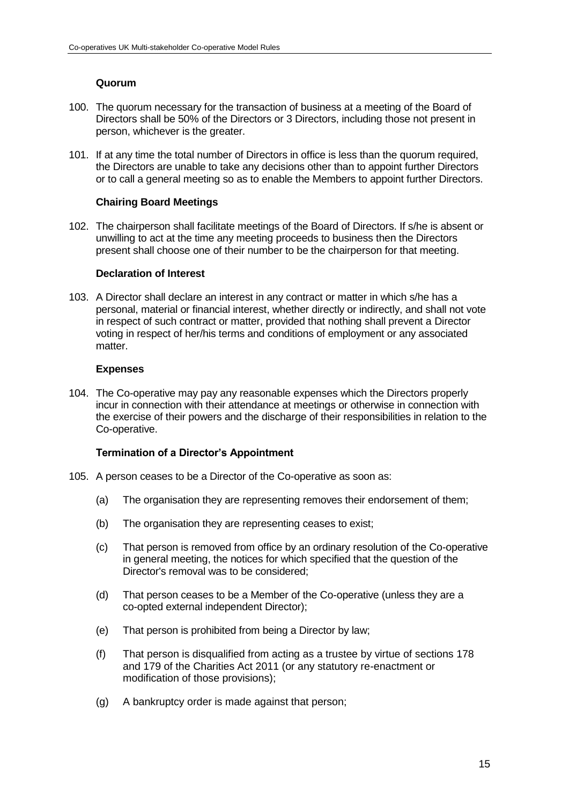# **Quorum**

- 100. The quorum necessary for the transaction of business at a meeting of the Board of Directors shall be 50% of the Directors or 3 Directors, including those not present in person, whichever is the greater.
- 101. If at any time the total number of Directors in office is less than the quorum required, the Directors are unable to take any decisions other than to appoint further Directors or to call a general meeting so as to enable the Members to appoint further Directors.

## **Chairing Board Meetings**

102. The chairperson shall facilitate meetings of the Board of Directors. If s/he is absent or unwilling to act at the time any meeting proceeds to business then the Directors present shall choose one of their number to be the chairperson for that meeting.

### **Declaration of Interest**

103. A Director shall declare an interest in any contract or matter in which s/he has a personal, material or financial interest, whether directly or indirectly, and shall not vote in respect of such contract or matter, provided that nothing shall prevent a Director voting in respect of her/his terms and conditions of employment or any associated matter.

### **Expenses**

104. The Co-operative may pay any reasonable expenses which the Directors properly incur in connection with their attendance at meetings or otherwise in connection with the exercise of their powers and the discharge of their responsibilities in relation to the Co-operative.

## **Termination of a Director's Appointment**

- 105. A person ceases to be a Director of the Co-operative as soon as:
	- (a) The organisation they are representing removes their endorsement of them;
	- (b) The organisation they are representing ceases to exist;
	- (c) That person is removed from office by an ordinary resolution of the Co-operative in general meeting, the notices for which specified that the question of the Director's removal was to be considered;
	- (d) That person ceases to be a Member of the Co-operative (unless they are a co-opted external independent Director);
	- (e) That person is prohibited from being a Director by law;
	- (f) That person is disqualified from acting as a trustee by virtue of sections 178 and 179 of the Charities Act 2011 (or any statutory re-enactment or modification of those provisions);
	- (g) A bankruptcy order is made against that person;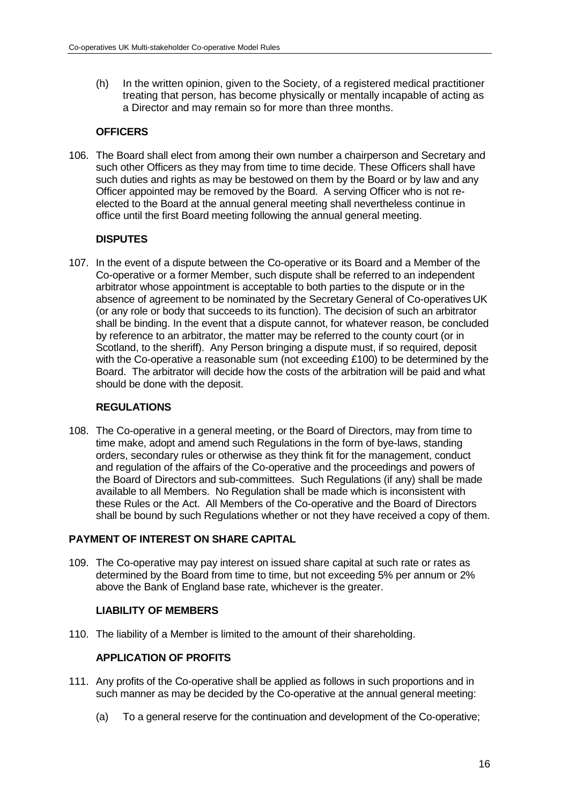(h) In the written opinion, given to the Society, of a registered medical practitioner treating that person, has become physically or mentally incapable of acting as a Director and may remain so for more than three months.

# **OFFICERS**

106. The Board shall elect from among their own number a chairperson and Secretary and such other Officers as they may from time to time decide. These Officers shall have such duties and rights as may be bestowed on them by the Board or by law and any Officer appointed may be removed by the Board. A serving Officer who is not reelected to the Board at the annual general meeting shall nevertheless continue in office until the first Board meeting following the annual general meeting.

## **DISPUTES**

107. In the event of a dispute between the Co-operative or its Board and a Member of the Co-operative or a former Member, such dispute shall be referred to an independent arbitrator whose appointment is acceptable to both parties to the dispute or in the absence of agreement to be nominated by the Secretary General of Co-operatives UK (or any role or body that succeeds to its function). The decision of such an arbitrator shall be binding. In the event that a dispute cannot, for whatever reason, be concluded by reference to an arbitrator, the matter may be referred to the county court (or in Scotland, to the sheriff). Any Person bringing a dispute must, if so required, deposit with the Co-operative a reasonable sum (not exceeding £100) to be determined by the Board. The arbitrator will decide how the costs of the arbitration will be paid and what should be done with the deposit.

# **REGULATIONS**

108. The Co-operative in a general meeting, or the Board of Directors, may from time to time make, adopt and amend such Regulations in the form of bye-laws, standing orders, secondary rules or otherwise as they think fit for the management, conduct and regulation of the affairs of the Co-operative and the proceedings and powers of the Board of Directors and sub-committees. Such Regulations (if any) shall be made available to all Members. No Regulation shall be made which is inconsistent with these Rules or the Act. All Members of the Co-operative and the Board of Directors shall be bound by such Regulations whether or not they have received a copy of them.

# **PAYMENT OF INTEREST ON SHARE CAPITAL**

109. The Co-operative may pay interest on issued share capital at such rate or rates as determined by the Board from time to time, but not exceeding 5% per annum or 2% above the Bank of England base rate, whichever is the greater.

## **LIABILITY OF MEMBERS**

110. The liability of a Member is limited to the amount of their shareholding.

## **APPLICATION OF PROFITS**

- 111. Any profits of the Co-operative shall be applied as follows in such proportions and in such manner as may be decided by the Co-operative at the annual general meeting:
	- (a) To a general reserve for the continuation and development of the Co-operative;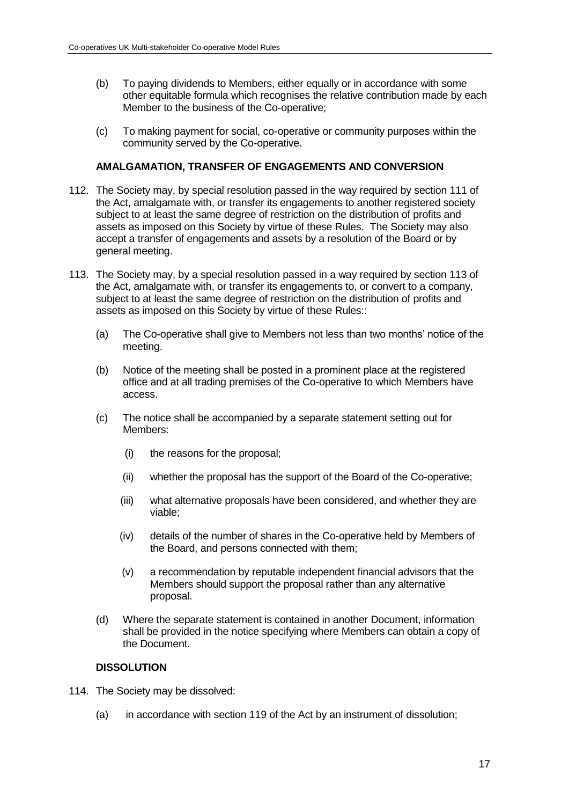- (b) To paying dividends to Members, either equally or in accordance with some other equitable formula which recognises the relative contribution made by each Member to the business of the Co-operative;
- (c) To making payment for social, co-operative or community purposes within the community served by the Co-operative.

### **AMALGAMATION, TRANSFER OF ENGAGEMENTS AND CONVERSION**

- 112. The Society may, by special resolution passed in the way required by section 111 of the Act, amalgamate with, or transfer its engagements to another registered society subject to at least the same degree of restriction on the distribution of profits and assets as imposed on this Society by virtue of these Rules. The Society may also accept a transfer of engagements and assets by a resolution of the Board or by general meeting.
- 113. The Society may, by a special resolution passed in a way required by section 113 of the Act, amalgamate with, or transfer its engagements to, or convert to a company, subject to at least the same degree of restriction on the distribution of profits and assets as imposed on this Society by virtue of these Rules::
	- (a) The Co-operative shall give to Members not less than two months' notice of the meeting.
	- (b) Notice of the meeting shall be posted in a prominent place at the registered office and at all trading premises of the Co-operative to which Members have access.
	- (c) The notice shall be accompanied by a separate statement setting out for Members:
		- (i) the reasons for the proposal;
		- (ii) whether the proposal has the support of the Board of the Co-operative;
		- (iii) what alternative proposals have been considered, and whether they are viable;
		- (iv) details of the number of shares in the Co-operative held by Members of the Board, and persons connected with them;
		- (v) a recommendation by reputable independent financial advisors that the Members should support the proposal rather than any alternative proposal.
	- (d) Where the separate statement is contained in another Document, information shall be provided in the notice specifying where Members can obtain a copy of the Document.

## **DISSOLUTION**

- 114. The Society may be dissolved:
	- (a) in accordance with section 119 of the Act by an instrument of dissolution;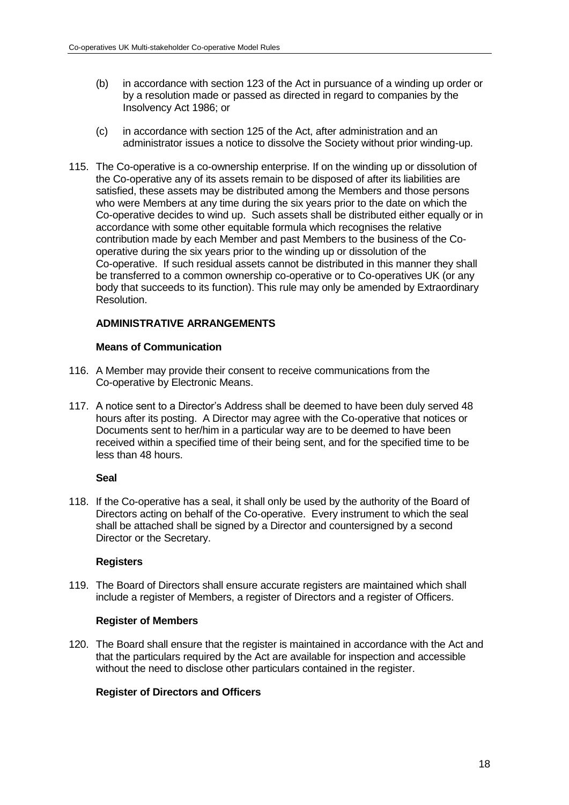- (b) in accordance with section 123 of the Act in pursuance of a winding up order or by a resolution made or passed as directed in regard to companies by the Insolvency Act 1986; or
- (c) in accordance with section 125 of the Act, after administration and an administrator issues a notice to dissolve the Society without prior winding-up.
- 115. The Co-operative is a co-ownership enterprise. If on the winding up or dissolution of the Co-operative any of its assets remain to be disposed of after its liabilities are satisfied, these assets may be distributed among the Members and those persons who were Members at any time during the six years prior to the date on which the Co-operative decides to wind up. Such assets shall be distributed either equally or in accordance with some other equitable formula which recognises the relative contribution made by each Member and past Members to the business of the Cooperative during the six years prior to the winding up or dissolution of the Co-operative. If such residual assets cannot be distributed in this manner they shall be transferred to a common ownership co-operative or to Co-operatives UK (or any body that succeeds to its function). This rule may only be amended by Extraordinary Resolution.

# **ADMINISTRATIVE ARRANGEMENTS**

## **Means of Communication**

- 116. A Member may provide their consent to receive communications from the Co-operative by Electronic Means.
- 117. A notice sent to a Director's Address shall be deemed to have been duly served 48 hours after its posting. A Director may agree with the Co-operative that notices or Documents sent to her/him in a particular way are to be deemed to have been received within a specified time of their being sent, and for the specified time to be less than 48 hours.

## **Seal**

118. If the Co-operative has a seal, it shall only be used by the authority of the Board of Directors acting on behalf of the Co-operative. Every instrument to which the seal shall be attached shall be signed by a Director and countersigned by a second Director or the Secretary.

## **Registers**

119. The Board of Directors shall ensure accurate registers are maintained which shall include a register of Members, a register of Directors and a register of Officers.

## **Register of Members**

120. The Board shall ensure that the register is maintained in accordance with the Act and that the particulars required by the Act are available for inspection and accessible without the need to disclose other particulars contained in the register.

## **Register of Directors and Officers**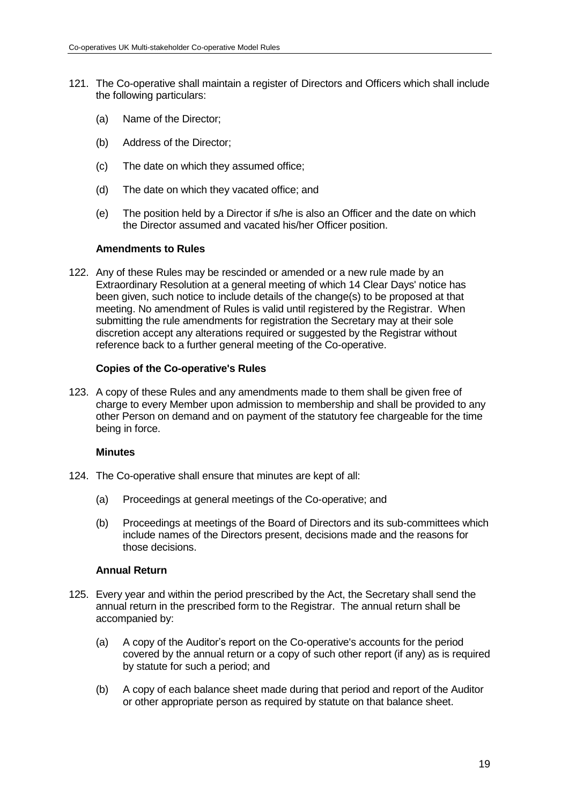- 121. The Co-operative shall maintain a register of Directors and Officers which shall include the following particulars:
	- (a) Name of the Director;
	- (b) Address of the Director;
	- (c) The date on which they assumed office;
	- (d) The date on which they vacated office; and
	- (e) The position held by a Director if s/he is also an Officer and the date on which the Director assumed and vacated his/her Officer position.

#### **Amendments to Rules**

122. Any of these Rules may be rescinded or amended or a new rule made by an Extraordinary Resolution at a general meeting of which 14 Clear Days' notice has been given, such notice to include details of the change(s) to be proposed at that meeting. No amendment of Rules is valid until registered by the Registrar. When submitting the rule amendments for registration the Secretary may at their sole discretion accept any alterations required or suggested by the Registrar without reference back to a further general meeting of the Co-operative.

#### **Copies of the Co-operative's Rules**

123. A copy of these Rules and any amendments made to them shall be given free of charge to every Member upon admission to membership and shall be provided to any other Person on demand and on payment of the statutory fee chargeable for the time being in force.

#### **Minutes**

- 124. The Co-operative shall ensure that minutes are kept of all:
	- (a) Proceedings at general meetings of the Co-operative; and
	- (b) Proceedings at meetings of the Board of Directors and its sub-committees which include names of the Directors present, decisions made and the reasons for those decisions.

### **Annual Return**

- 125. Every year and within the period prescribed by the Act, the Secretary shall send the annual return in the prescribed form to the Registrar. The annual return shall be accompanied by:
	- (a) A copy of the Auditor's report on the Co-operative's accounts for the period covered by the annual return or a copy of such other report (if any) as is required by statute for such a period; and
	- (b) A copy of each balance sheet made during that period and report of the Auditor or other appropriate person as required by statute on that balance sheet.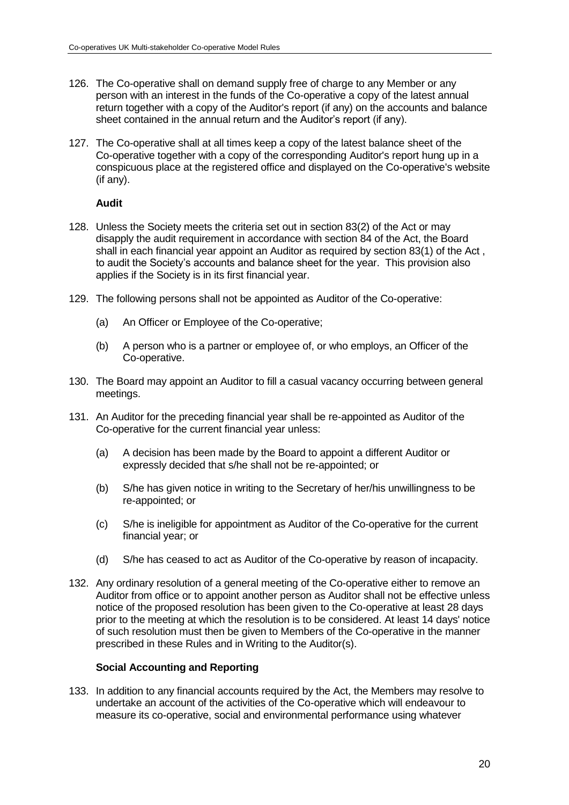- 126. The Co-operative shall on demand supply free of charge to any Member or any person with an interest in the funds of the Co-operative a copy of the latest annual return together with a copy of the Auditor's report (if any) on the accounts and balance sheet contained in the annual return and the Auditor's report (if any).
- 127. The Co-operative shall at all times keep a copy of the latest balance sheet of the Co-operative together with a copy of the corresponding Auditor's report hung up in a conspicuous place at the registered office and displayed on the Co-operative's website (if any).

### **Audit**

- 128. Unless the Society meets the criteria set out in section 83(2) of the Act or may disapply the audit requirement in accordance with section 84 of the Act, the Board shall in each financial year appoint an Auditor as required by section 83(1) of the Act , to audit the Society's accounts and balance sheet for the year. This provision also applies if the Society is in its first financial year.
- 129. The following persons shall not be appointed as Auditor of the Co-operative:
	- (a) An Officer or Employee of the Co-operative;
	- (b) A person who is a partner or employee of, or who employs, an Officer of the Co-operative.
- 130. The Board may appoint an Auditor to fill a casual vacancy occurring between general meetings.
- 131. An Auditor for the preceding financial year shall be re-appointed as Auditor of the Co-operative for the current financial year unless:
	- (a) A decision has been made by the Board to appoint a different Auditor or expressly decided that s/he shall not be re-appointed; or
	- (b) S/he has given notice in writing to the Secretary of her/his unwillingness to be re-appointed; or
	- (c) S/he is ineligible for appointment as Auditor of the Co-operative for the current financial year; or
	- (d) S/he has ceased to act as Auditor of the Co-operative by reason of incapacity.
- 132. Any ordinary resolution of a general meeting of the Co-operative either to remove an Auditor from office or to appoint another person as Auditor shall not be effective unless notice of the proposed resolution has been given to the Co-operative at least 28 days prior to the meeting at which the resolution is to be considered. At least 14 days' notice of such resolution must then be given to Members of the Co-operative in the manner prescribed in these Rules and in Writing to the Auditor(s).

#### **Social Accounting and Reporting**

133. In addition to any financial accounts required by the Act, the Members may resolve to undertake an account of the activities of the Co-operative which will endeavour to measure its co-operative, social and environmental performance using whatever